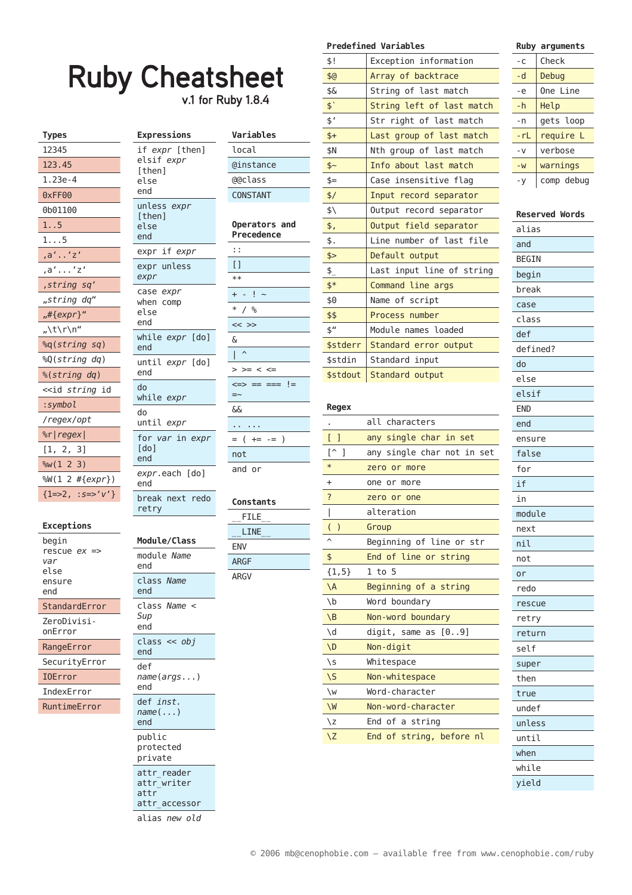# **Ruby Cheatsheet**

v.1 for Ruby  $1.8.4$ 

| <b>Types</b>                        |
|-------------------------------------|
| 12345                               |
| 123.45                              |
| $1.23e-4$                           |
| 0xFF00                              |
| 0b01100                             |
| 1. .5                               |
| 1. 5                                |
| , a' 'z'                            |
| ,a''z'                              |
| ,string sq'                         |
| "string dq"                         |
| "#{expr}"                           |
| "\t\r\n"                            |
| %q(string sq)                       |
| %Q(string dq)                       |
| %(string dq)                        |
| < <id <i="">string id</id>          |
| :symbol                             |
| /regex/opt                          |
| %r regex                            |
| [1, 2, 3]                           |
| %W(1 2 3)                           |
| %W(1 2 #{expr})                     |
| ${1=>2$ , $;s=>^{\prime}v^{\prime}$ |

#### Exceptions

| begin<br>rescue <i>ex =</i> ><br>var<br>else<br>ensure<br>end |
|---------------------------------------------------------------|
| StandardError                                                 |
| ZeroDivisi-<br>onError                                        |
| RangeError                                                    |
| SecurityError                                                 |
| <b>IOError</b>                                                |
| IndexError                                                    |

| RuntimeError |  |  |
|--------------|--|--|
|              |  |  |

|               | Expressions                                           |
|---------------|-------------------------------------------------------|
|               | if expr [then]<br>elsif expr<br>[then]<br>else<br>end |
|               | unless<br>expr<br>[then]<br>else<br>end               |
|               | expr if expr                                          |
|               | expr unless<br>expr                                   |
|               | case<br>expr<br>when comp<br>else<br>end              |
|               | while expr [do]<br>end                                |
|               | until <i>expr</i> [do]<br>end                         |
| ł             | do<br>while <i>expr</i>                               |
|               | do<br>until expr                                      |
|               | for var in expr<br>$\lceil$ do $\rceil$<br>end        |
| F)            | expr.each [do]<br>end                                 |
| $\mathcal{E}$ | break next redo<br>retry                              |
|               | Module/Class                                          |
|               | module <i>Name</i><br>end                             |
|               | class <i>Name</i><br>end                              |
|               | class<br>Name<br>Sup<br>end                           |
|               | class<br>obj<br><<<br>end                             |
|               | def<br>name(args)<br>end                              |

def inst.  $name(\ldots)$ 

attr\_accessor alias new old

end public  $\texttt{protected}$ private attr\_reader attr\_writer attr

| Variables                         |
|-----------------------------------|
| local                             |
| @instance                         |
| @@class                           |
| CONSTANT                          |
| Operators and<br>Precedence       |
| : :                               |
| [ ]                               |
| $**$                              |
| ļ<br>$\ddot{}$                    |
| $\ast$<br>℅                       |
| <<<br>$\gt$                       |
| δ                                 |
| I                                 |
| $\mathbf{r}$<br>>=<br><<br>$\leq$ |
| !=<br><=><br>$=$ $=$ $=$<br>$==$  |
| ଟ୍                                |
|                                   |
| )<br>(<br>$+=$<br>$=$<br>Ė        |
| not                               |
| and<br>.or                        |

## Constants

| FILE        |  |
|-------------|--|
| LINE        |  |
| ENV         |  |
| <b>ARGF</b> |  |
| ARGV        |  |
|             |  |

|                | <b>Predefined Variables</b> |
|----------------|-----------------------------|
| \$!            | Exception information       |
| \$6            | Array of backtrace          |
| \$&            | String of last match        |
| $\phi$         | String left of last match   |
| \$'            | Str right of last match     |
| $$+$           | Last group of last match    |
| \$N            | Nth group of last match     |
| \$~            | Info about last match       |
| $$=$           | Case insensitive flag       |
| \$/            | Input record separator      |
| \$\            | Output record separator     |
| \$,            | Output field separator      |
| \$.            | Line number of last file    |
| \$>            | Default output              |
| $\frac{1}{2}$  | Last input line of string   |
| $\frac{1}{2}$  | Command line args           |
| \$0            | Name of script              |
| \$\$           | Process number              |
| $\mathsf{s}''$ | Module names loaded         |
| \$stderr       | Standard error output       |
| \$stdin        | Standard input              |
| \$stdout       | Standard output             |
|                |                             |

#### Regex

| nogon                           |                            |
|---------------------------------|----------------------------|
| ٠                               | all characters             |
| 1<br>L                          | any single char in set     |
| ⊺^<br>1                         | any single char not in set |
| $\ast$                          | zero or more               |
| $\ddot{}$                       | one or more                |
| ?                               | zero or one                |
| I                               | alteration                 |
| $\overline{(}$<br>$\mathcal{E}$ | Group                      |
| $\lambda$                       | Beginning of line or str   |
| \$                              | End of line or string      |
| ${1, 5}$                        | $1$ to $5$                 |
| $\Lambda$                       | Beginning of a string      |
| $\mathbf{b}$                    | Word boundary              |
| $\setminus B$                   | Non-word boundary          |
| $\setminus d$                   | digit, same as $[09]$      |
| $\setminus D$                   | Non-digit                  |
| $\setminus$                     | Whitespace                 |
| $\setminus$                     | Non-whitespace             |
| $\vee$                          | Word-character             |
| $\vee$                          | Non-word-character         |
| $\zeta$                         | End of a string            |
| $\sqrt{2}$                      | End of string, before nl   |
|                                 |                            |

#### Ruby arguments Check  $-C$  $-d$ Debug  $-e$ One Line  $-h$ Help  $-n$ gets loop  $- rL$ require L  $\sim$  V verbose  $-W$ warnings comp debug  $-y$

# **Reserved Words**

| alias        |
|--------------|
| and          |
| <b>BEGIN</b> |
| begin        |
| break        |
| case         |
| class        |
| def          |
| defined?     |
| do           |
| else         |
| elsif        |
| <b>END</b>   |
| end          |
| ensure       |
| false        |
| for          |
| if           |
| in           |
| module       |
| next         |
| nil          |
| not          |
| or           |
| redo         |
| rescue       |
| retry        |
| return       |
| self         |
| super        |
| then         |
| true         |
| undef        |
| unless       |
| until        |
| when         |
| while        |
| yield        |
|              |